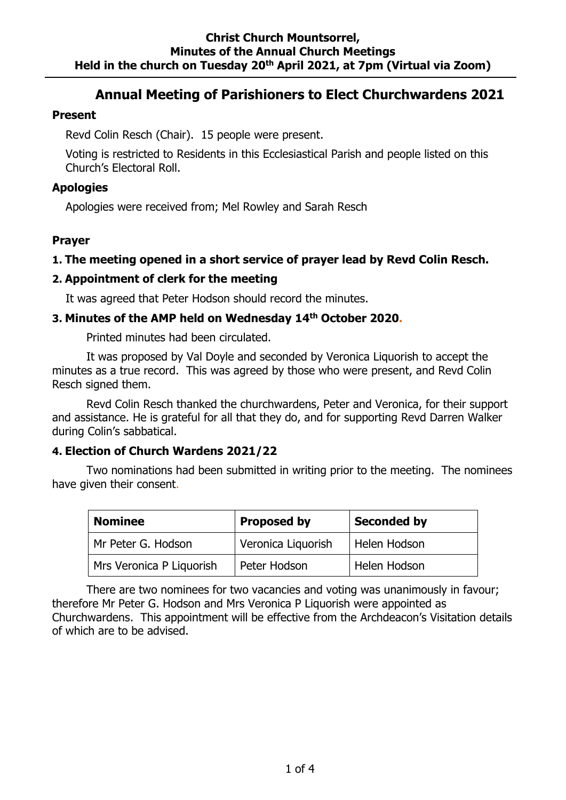#### **Christ Church Mountsorrel, Minutes of the Annual Church Meetings Held in the church on Tuesday 20th April 2021, at 7pm (Virtual via Zoom)**

# **Annual Meeting of Parishioners to Elect Churchwardens 2021**

#### **Present**

Revd Colin Resch (Chair). 15 people were present.

Voting is restricted to Residents in this Ecclesiastical Parish and people listed on this Church's Electoral Roll.

# **Apologies**

Apologies were received from; Mel Rowley and Sarah Resch

# **Prayer**

# **1. The meeting opened in a short service of prayer lead by Revd Colin Resch.**

# **2. Appointment of clerk for the meeting**

It was agreed that Peter Hodson should record the minutes.

# **3. Minutes of the AMP held on Wednesday 14th October 2020.**

Printed minutes had been circulated.

It was proposed by Val Doyle and seconded by Veronica Liquorish to accept the minutes as a true record. This was agreed by those who were present, and Revd Colin Resch signed them.

Revd Colin Resch thanked the churchwardens, Peter and Veronica, for their support and assistance. He is grateful for all that they do, and for supporting Revd Darren Walker during Colin's sabbatical.

#### **4. Election of Church Wardens 2021/22**

Two nominations had been submitted in writing prior to the meeting. The nominees have given their consent.

| <b>Proposed by</b><br><b>Nominee</b> |                    | <b>Seconded by</b> |
|--------------------------------------|--------------------|--------------------|
| Mr Peter G. Hodson                   | Veronica Liquorish | Helen Hodson       |
| Mrs Veronica P Liquorish             | Peter Hodson       | Helen Hodson       |

There are two nominees for two vacancies and voting was unanimously in favour; therefore Mr Peter G. Hodson and Mrs Veronica P Liquorish were appointed as Churchwardens. This appointment will be effective from the Archdeacon's Visitation details of which are to be advised.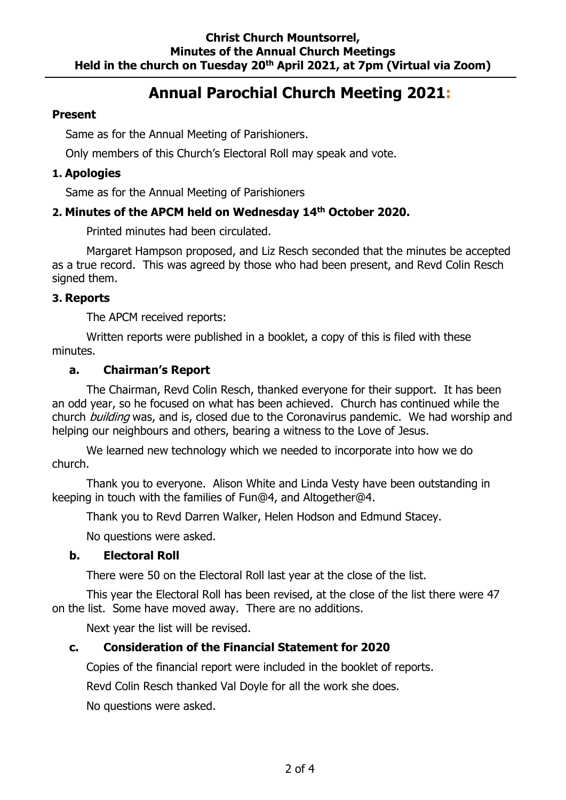# **Annual Parochial Church Meeting 2021:**

#### **Present**

Same as for the Annual Meeting of Parishioners.

Only members of this Church's Electoral Roll may speak and vote.

# **1. Apologies**

Same as for the Annual Meeting of Parishioners

# **2. Minutes of the APCM held on Wednesday 14th October 2020.**

Printed minutes had been circulated.

Margaret Hampson proposed, and Liz Resch seconded that the minutes be accepted as a true record. This was agreed by those who had been present, and Revd Colin Resch signed them.

# **3. Reports**

The APCM received reports:

Written reports were published in a booklet, a copy of this is filed with these minutes.

# **a. Chairman's Report**

The Chairman, Revd Colin Resch, thanked everyone for their support. It has been an odd year, so he focused on what has been achieved. Church has continued while the church *building* was, and is, closed due to the Coronavirus pandemic. We had worship and helping our neighbours and others, bearing a witness to the Love of Jesus.

We learned new technology which we needed to incorporate into how we do church.

Thank you to everyone. Alison White and Linda Vesty have been outstanding in keeping in touch with the families of Fun@4, and Altogether@4.

Thank you to Revd Darren Walker, Helen Hodson and Edmund Stacey.

No questions were asked.

#### **b. Electoral Roll**

There were 50 on the Electoral Roll last year at the close of the list.

This year the Electoral Roll has been revised, at the close of the list there were 47 on the list. Some have moved away. There are no additions.

Next year the list will be revised.

# **c. Consideration of the Financial Statement for 2020**

Copies of the financial report were included in the booklet of reports.

Revd Colin Resch thanked Val Doyle for all the work she does.

No questions were asked.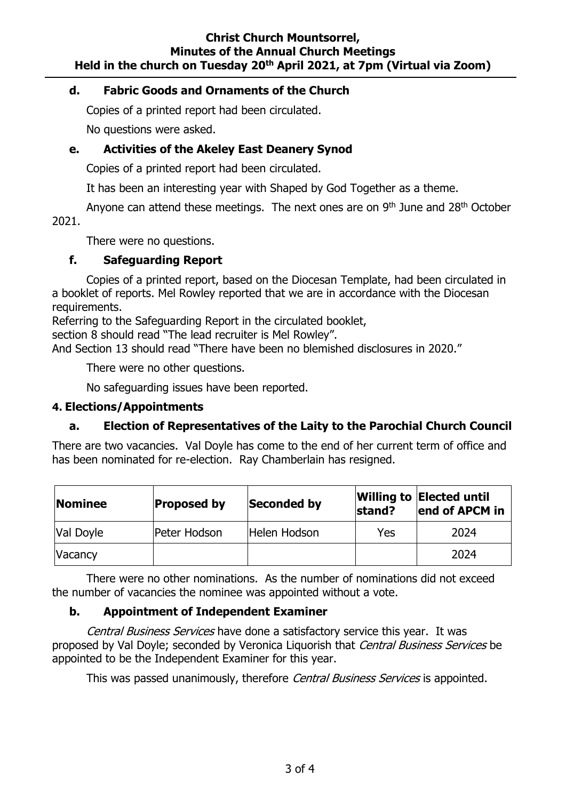#### **Christ Church Mountsorrel, Minutes of the Annual Church Meetings Held in the church on Tuesday 20th April 2021, at 7pm (Virtual via Zoom)**

#### **d. Fabric Goods and Ornaments of the Church**

Copies of a printed report had been circulated.

No questions were asked.

# **e. Activities of the Akeley East Deanery Synod**

Copies of a printed report had been circulated.

It has been an interesting year with Shaped by God Together as a theme.

Anyone can attend these meetings. The next ones are on  $9<sup>th</sup>$  June and  $28<sup>th</sup>$  October 2021.

There were no questions.

# **f. Safeguarding Report**

Copies of a printed report, based on the Diocesan Template, had been circulated in a booklet of reports. Mel Rowley reported that we are in accordance with the Diocesan requirements.

Referring to the Safeguarding Report in the circulated booklet,

section 8 should read "The lead recruiter is Mel Rowley".

And Section 13 should read "There have been no blemished disclosures in 2020."

There were no other questions.

No safeguarding issues have been reported.

#### **4. Elections/Appointments**

# **a. Election of Representatives of the Laity to the Parochial Church Council**

There are two vacancies. Val Doyle has come to the end of her current term of office and has been nominated for re-election. Ray Chamberlain has resigned.

| <b>Nominee</b> | <b>Proposed by</b> | Seconded by  | stand? | <b>Willing to Elected until</b><br>end of APCM in |
|----------------|--------------------|--------------|--------|---------------------------------------------------|
| Val Doyle      | Peter Hodson       | Helen Hodson | Yes    | 2024                                              |
| <b>Vacancy</b> |                    |              |        | 2024                                              |

There were no other nominations. As the number of nominations did not exceed the number of vacancies the nominee was appointed without a vote.

# **b. Appointment of Independent Examiner**

Central Business Services have done a satisfactory service this year. It was proposed by Val Doyle; seconded by Veronica Liquorish that Central Business Services be appointed to be the Independent Examiner for this year.

This was passed unanimously, therefore Central Business Services is appointed.